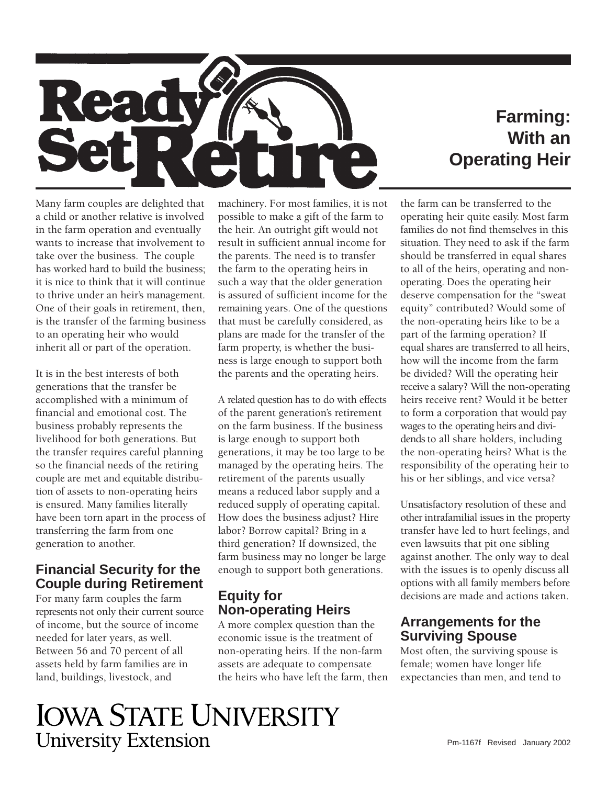

## **Farming: With an Operating Heir**

Many farm couples are delighted that a child or another relative is involved in the farm operation and eventually wants to increase that involvement to take over the business. The couple has worked hard to build the business; it is nice to think that it will continue to thrive under an heir's management. One of their goals in retirement, then, is the transfer of the farming business to an operating heir who would inherit all or part of the operation.

It is in the best interests of both generations that the transfer be accomplished with a minimum of financial and emotional cost. The business probably represents the livelihood for both generations. But the transfer requires careful planning so the financial needs of the retiring couple are met and equitable distribution of assets to non-operating heirs is ensured. Many families literally have been torn apart in the process of transferring the farm from one generation to another.

## **Financial Security for the Couple during Retirement**

For many farm couples the farm represents not only their current source of income, but the source of income needed for later years, as well. Between 56 and 70 percent of all assets held by farm families are in land, buildings, livestock, and

machinery. For most families, it is not possible to make a gift of the farm to the heir. An outright gift would not result in sufficient annual income for the parents. The need is to transfer the farm to the operating heirs in such a way that the older generation is assured of sufficient income for the remaining years. One of the questions that must be carefully considered, as plans are made for the transfer of the farm property, is whether the business is large enough to support both the parents and the operating heirs.

A related question has to do with effects of the parent generation's retirement on the farm business. If the business is large enough to support both generations, it may be too large to be managed by the operating heirs. The retirement of the parents usually means a reduced labor supply and a reduced supply of operating capital. How does the business adjust? Hire labor? Borrow capital? Bring in a third generation? If downsized, the farm business may no longer be large enough to support both generations.

## **Equity for Non-operating Heirs**

A more complex question than the economic issue is the treatment of non-operating heirs. If the non-farm assets are adequate to compensate the heirs who have left the farm, then

 families do not find themselves in this the farm can be transferred to the operating heir quite easily. Most farm situation. They need to ask if the farm should be transferred in equal shares to all of the heirs, operating and nonoperating. Does the operating heir deserve compensation for the "sweat equity" contributed? Would some of the non-operating heirs like to be a part of the farming operation? If equal shares are transferred to all heirs, how will the income from the farm be divided? Will the operating heir receive a salary? Will the non-operating heirs receive rent? Would it be better to form a corporation that would pay wages to the operating heirs and dividends to all share holders, including the non-operating heirs? What is the responsibility of the operating heir to his or her siblings, and vice versa?

Unsatisfactory resolution of these and other intrafamilial issues in the property transfer have led to hurt feelings, and even lawsuits that pit one sibling against another. The only way to deal with the issues is to openly discuss all options with all family members before decisions are made and actions taken.

## **Arrangements for the Surviving Spouse**

Most often, the surviving spouse is female; women have longer life expectancies than men, and tend to

# **IOWA STATE UNIVERSITY University Extension**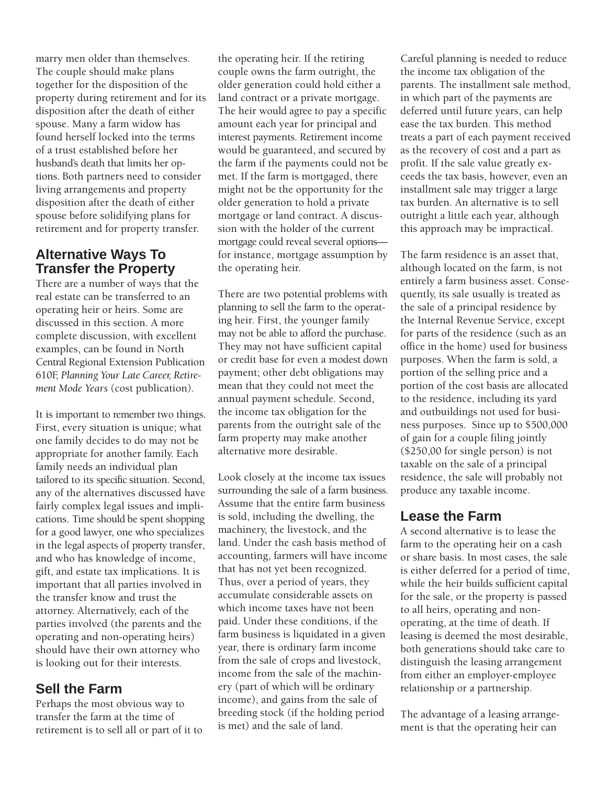marry men older than themselves. The couple should make plans together for the disposition of the property during retirement and for its disposition after the death of either spouse. Many a farm widow has found herself locked into the terms of a trust established before her husband's death that limits her options. Both partners need to consider living arrangements and property disposition after the death of either spouse before solidifying plans for retirement and for property transfer.

## **Alternative Ways To Transfer the Property**

There are a number of ways that the real estate can be transferred to an operating heir or heirs. Some are discussed in this section. A more complete discussion, with excellent examples, can be found in North Central Regional Extension Publication 610F, *Planning Your Late Career, Retirement Mode Years* (cost publication)*.* 

It is important to remember two things. First, every situation is unique; what one family decides to do may not be appropriate for another family. Each family needs an individual plan tailored to its specific situation. Second, any of the alternatives discussed have fairly complex legal issues and implications. Time should be spent shopping for a good lawyer, one who specializes in the legal aspects of property transfer, and who has knowledge of income, gift, and estate tax implications. It is important that all parties involved in the transfer know and trust the attorney. Alternatively, each of the parties involved (the parents and the operating and non-operating heirs) should have their own attorney who is looking out for their interests.

## **Sell the Farm**

Perhaps the most obvious way to transfer the farm at the time of retirement is to sell all or part of it to

the operating heir. If the retiring couple owns the farm outright, the older generation could hold either a land contract or a private mortgage. The heir would agree to pay a specific amount each year for principal and interest payments. Retirement income would be guaranteed, and secured by the farm if the payments could not be met. If the farm is mortgaged, there might not be the opportunity for the older generation to hold a private mortgage or land contract. A discussion with the holder of the current mortgage could reveal several options for instance, mortgage assumption by the operating heir.

There are two potential problems with planning to sell the farm to the operating heir. First, the younger family may not be able to afford the purchase. They may not have sufficient capital or credit base for even a modest down payment; other debt obligations may mean that they could not meet the annual payment schedule. Second, the income tax obligation for the parents from the outright sale of the farm property may make another alternative more desirable.

Look closely at the income tax issues surrounding the sale of a farm business. Assume that the entire farm business is sold, including the dwelling, the machinery, the livestock, and the land. Under the cash basis method of accounting, farmers will have income that has not yet been recognized. Thus, over a period of years, they accumulate considerable assets on which income taxes have not been paid. Under these conditions, if the farm business is liquidated in a given year, there is ordinary farm income from the sale of crops and livestock, income from the sale of the machinery (part of which will be ordinary income), and gains from the sale of breeding stock (if the holding period is met) and the sale of land.

Careful planning is needed to reduce the income tax obligation of the parents. The installment sale method, in which part of the payments are deferred until future years, can help ease the tax burden. This method treats a part of each payment received as the recovery of cost and a part as profit. If the sale value greatly exceeds the tax basis, however, even an installment sale may trigger a large tax burden. An alternative is to sell outright a little each year, although this approach may be impractical.

The farm residence is an asset that, although located on the farm, is not entirely a farm business asset. Consequently, its sale usually is treated as the sale of a principal residence by the Internal Revenue Service, except for parts of the residence (such as an office in the home) used for business purposes. When the farm is sold, a portion of the selling price and a portion of the cost basis are allocated to the residence, including its yard and outbuildings not used for business purposes. Since up to \$500,000 of gain for a couple filing jointly (\$250,00 for single person) is not taxable on the sale of a principal residence, the sale will probably not produce any taxable income.

## **Lease the Farm**

A second alternative is to lease the farm to the operating heir on a cash or share basis. In most cases, the sale is either deferred for a period of time, while the heir builds sufficient capital for the sale, or the property is passed to all heirs, operating and nonoperating, at the time of death. If leasing is deemed the most desirable, both generations should take care to distinguish the leasing arrangement from either an employer-employee relationship or a partnership.

The advantage of a leasing arrangement is that the operating heir can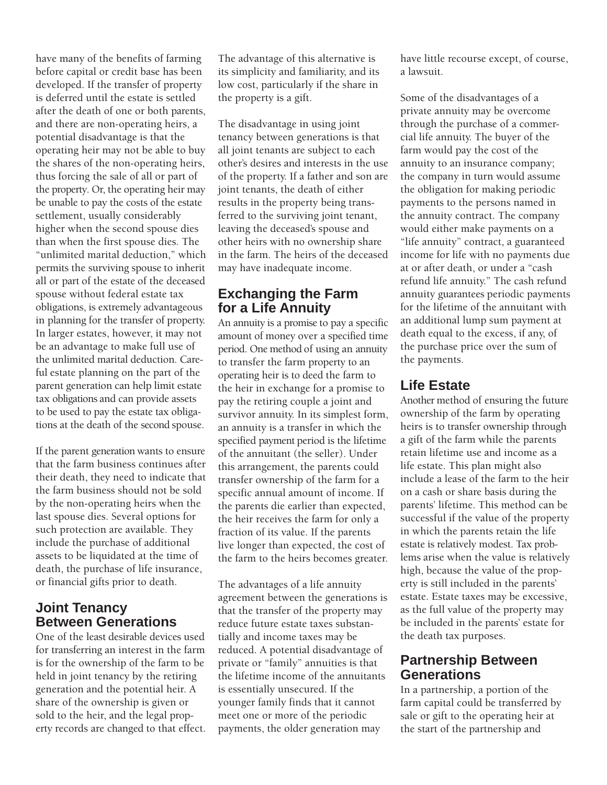have many of the benefits of farming before capital or credit base has been developed. If the transfer of property is deferred until the estate is settled after the death of one or both parents, and there are non-operating heirs, a potential disadvantage is that the operating heir may not be able to buy the shares of the non-operating heirs, thus forcing the sale of all or part of the property. Or, the operating heir may be unable to pay the costs of the estate settlement, usually considerably higher when the second spouse dies than when the first spouse dies. The "unlimited marital deduction," which permits the surviving spouse to inherit all or part of the estate of the deceased spouse without federal estate tax obligations, is extremely advantageous in planning for the transfer of property. In larger estates, however, it may not be an advantage to make full use of the unlimited marital deduction. Careful estate planning on the part of the parent generation can help limit estate tax obligations and can provide assets to be used to pay the estate tax obligations at the death of the second spouse.

If the parent generation wants to ensure that the farm business continues after their death, they need to indicate that the farm business should not be sold by the non-operating heirs when the last spouse dies. Several options for such protection are available. They include the purchase of additional assets to be liquidated at the time of death, the purchase of life insurance, or financial gifts prior to death.

### **Joint Tenancy Between Generations**

One of the least desirable devices used for transferring an interest in the farm is for the ownership of the farm to be held in joint tenancy by the retiring generation and the potential heir. A share of the ownership is given or sold to the heir, and the legal property records are changed to that effect. The advantage of this alternative is its simplicity and familiarity, and its low cost, particularly if the share in the property is a gift.

The disadvantage in using joint tenancy between generations is that all joint tenants are subject to each other's desires and interests in the use of the property. If a father and son are joint tenants, the death of either results in the property being transferred to the surviving joint tenant, leaving the deceased's spouse and other heirs with no ownership share in the farm. The heirs of the deceased may have inadequate income.

## **Exchanging the Farm for a Life Annuity**

 An annuity is a promise to pay a specific amount of money over a specified time period. One method of using an annuity to transfer the farm property to an operating heir is to deed the farm to the heir in exchange for a promise to pay the retiring couple a joint and survivor annuity. In its simplest form, an annuity is a transfer in which the specified payment period is the lifetime of the annuitant (the seller). Under this arrangement, the parents could transfer ownership of the farm for a specific annual amount of income. If the parents die earlier than expected, the heir receives the farm for only a fraction of its value. If the parents live longer than expected, the cost of the farm to the heirs becomes greater.

The advantages of a life annuity agreement between the generations is that the transfer of the property may reduce future estate taxes substantially and income taxes may be reduced. A potential disadvantage of private or "family" annuities is that the lifetime income of the annuitants is essentially unsecured. If the younger family finds that it cannot meet one or more of the periodic payments, the older generation may

have little recourse except, of course, a lawsuit.

Some of the disadvantages of a private annuity may be overcome through the purchase of a commercial life annuity. The buyer of the farm would pay the cost of the annuity to an insurance company; the company in turn would assume the obligation for making periodic payments to the persons named in the annuity contract. The company would either make payments on a "life annuity" contract, a guaranteed income for life with no payments due at or after death, or under a "cash refund life annuity." The cash refund annuity guarantees periodic payments for the lifetime of the annuitant with an additional lump sum payment at death equal to the excess, if any, of the purchase price over the sum of the payments.

## **Life Estate**

Another method of ensuring the future ownership of the farm by operating heirs is to transfer ownership through a gift of the farm while the parents retain lifetime use and income as a life estate. This plan might also include a lease of the farm to the heir on a cash or share basis during the parents' lifetime. This method can be successful if the value of the property in which the parents retain the life estate is relatively modest. Tax problems arise when the value is relatively high, because the value of the property is still included in the parents' estate. Estate taxes may be excessive, as the full value of the property may be included in the parents' estate for the death tax purposes.

## **Partnership Between Generations**

In a partnership, a portion of the farm capital could be transferred by sale or gift to the operating heir at the start of the partnership and